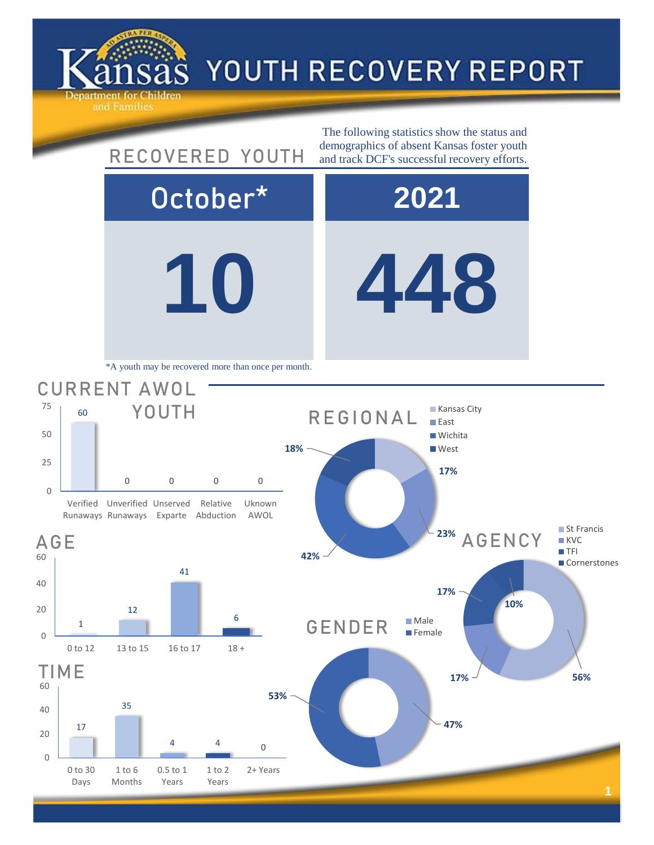

0

20

40

60

0

20

40

60

0

25

50

75

## YOUTH RECOVERY REPORT

**10 448** October\* **2021** 17 35 4 4 0 0 to 30 Days 1 to 6 Months 0.5 to 1 Years 1 to 2 Years 2+ Years TIME **47% 53%** GENDER Male **Female 17% 56% 17% 10%** AGENCY ■ St Francis **KVC TFI Cornerstones** 1 12 41 6 0 to 12 13 to 15 16 to 17 18 + AGE 60 0 0 0 0 Verified Unverified Unserved Runaways Runaways Exparte Relative Abduction Uknown AWOL CURRENT AWOL YOUTH The following statistics show the status and RECOVERED YOUTH demographics of absent Kansas foster youth and track DCF's successful recovery efforts. \*A youth may be recovered more than once per month. **17% 23% 42% 18%** REGIONAL **Kansas City East Wichita West**